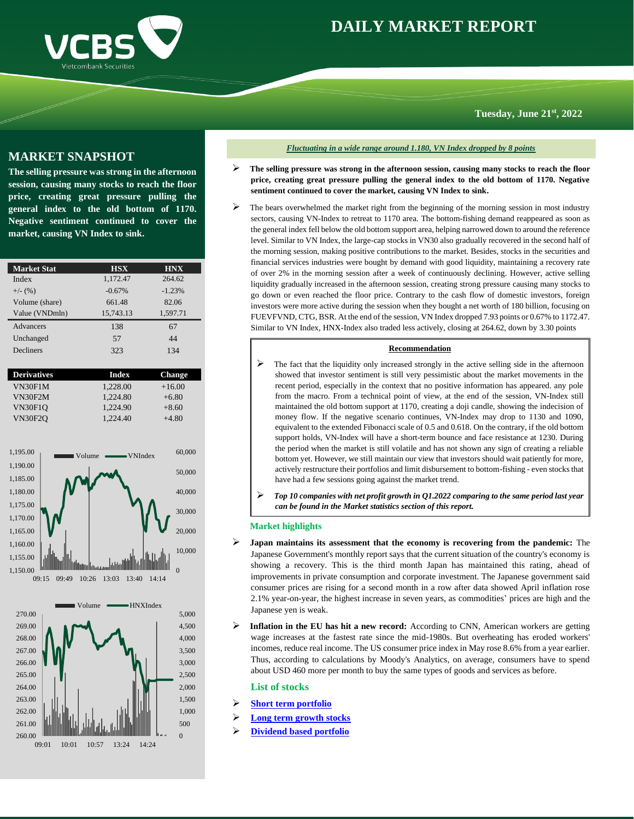



**Tuesday, June 21st, 2022**

## **MARKET SNAPSHOT**

**The selling pressure was strong in the afternoon session, causing many stocks to reach the floor price, creating great pressure pulling the general index to the old bottom of 1170. Negative sentiment continued to cover the market, causing VN Index to sink.**

| <b>Market Stat</b> | <b>HSX</b>   | <b>HNX</b>    |
|--------------------|--------------|---------------|
| Index              | 1,172.47     | 264.62        |
| $+/-$ (%)          | $-0.67%$     | $-1.23%$      |
| Volume (share)     | 661.48       | 82.06         |
| Value (VNDmln)     | 15,743.13    | 1,597.71      |
| Advancers          | 138          | 67            |
| Unchanged          | 57           | 44            |
| Decliners          | 323          | 134           |
|                    |              |               |
| <b>Derivatives</b> | <b>Index</b> | <b>Change</b> |
| <b>VN30F1M</b>     | 1.228.00     | $+16.00$      |
| VN30F2M            | 1.224.80     | $+6.80$       |
| <b>VN30F1O</b>     | 1.224.90     | $+8.60$       |
| <b>VN30F2O</b>     | 1.224.40     | $+4.80$       |
|                    |              |               |





*Fluctuating in a wide range around 1.180, VN Index dropped by 8 points*

- ➢ **The selling pressure was strong in the afternoon session, causing many stocks to reach the floor price, creating great pressure pulling the general index to the old bottom of 1170. Negative sentiment continued to cover the market, causing VN Index to sink.**
- The bears overwhelmed the market right from the beginning of the morning session in most industry sectors, causing VN-Index to retreat to 1170 area. The bottom-fishing demand reappeared as soon as the general index fell below the old bottom support area, helping narrowed down to around the reference level. Similar to VN Index, the large-cap stocks in VN30 also gradually recovered in the second half of the morning session, making positive contributions to the market. Besides, stocks in the securities and financial services industries were bought by demand with good liquidity, maintaining a recovery rate of over 2% in the morning session after a week of continuously declining. However, active selling liquidity gradually increased in the afternoon session, creating strong pressure causing many stocks to go down or even reached the floor price. Contrary to the cash flow of domestic investors, foreign investors were more active during the session when they bought a net worth of 180 billion, focusing on FUEVFVND, CTG, BSR. At the end of the session, VN Index dropped 7.93 points or 0.67% to 1172.47. Similar to VN Index, HNX-Index also traded less actively, closing at 264.62, down by 3.30 points

### **Recommendation**

- ➢ The fact that the liquidity only increased strongly in the active selling side in the afternoon showed that investor sentiment is still very pessimistic about the market movements in the recent period, especially in the context that no positive information has appeared. any pole from the macro. From a technical point of view, at the end of the session, VN-Index still maintained the old bottom support at 1170, creating a doji candle, showing the indecision of money flow. If the negative scenario continues, VN-Index may drop to 1130 and 1090, equivalent to the extended Fibonacci scale of 0.5 and 0.618. On the contrary, if the old bottom support holds, VN-Index will have a short-term bounce and face resistance at 1230. During the period when the market is still volatile and has not shown any sign of creating a reliable bottom yet. However, we still maintain our view that investors should wait patiently for more, actively restructure their portfolios and limit disbursement to bottom-fishing - even stocks that have had a few sessions going against the market trend.
- ➢ *Top 10 companies with net profit growth in Q1.2022 comparing to the same period last year can be found in the Market statistics section of this report.*

### **Market highlights**

- ➢ **Japan maintains its assessment that the economy is recovering from the pandemic:** The Japanese Government's monthly report says that the current situation of the country's economy is showing a recovery. This is the third month Japan has maintained this rating, ahead of improvements in private consumption and corporate investment. The Japanese government said consumer prices are rising for a second month in a row after data showed April inflation rose 2.1% year-on-year, the highest increase in seven years, as commodities' prices are high and the Japanese yen is weak.
- Inflation in the EU has hit a new record: According to CNN, American workers are getting wage increases at the fastest rate since the mid-1980s. But overheating has eroded workers' incomes, reduce real income. The US consumer price index in May rose 8.6% from a year earlier. Thus, according to calculations by Moody's Analytics, on average, consumers have to spend about USD 460 more per month to buy the same types of goods and services as before.

### <span id="page-0-0"></span>**List of stocks**

- ➢ **[Short term portfolio](#page-1-0)**
- ➢ **[Long term growth stocks](#page-0-0)**
- ➢ **[Dividend based portfolio](#page-1-0)**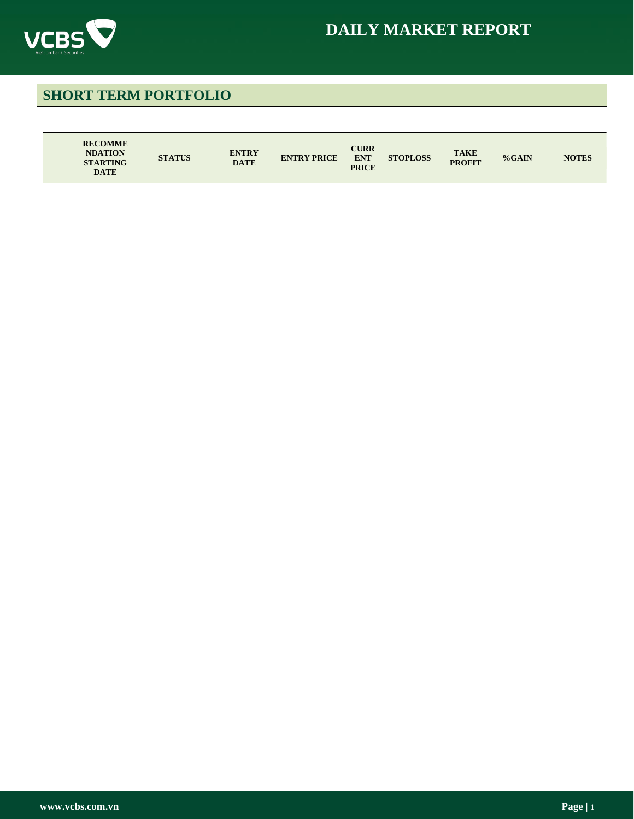

# **DAILY MARKET REPORT**

# <span id="page-1-0"></span>**SHORT TERM PORTFOLIO**

| <b>RECOMME</b><br><b>NDATION</b><br><b>STARTING</b><br><b>DATE</b> | <b>ENTRY</b><br><b>STATUS</b><br><b>DATE</b> | <b>ENTRY PRICE</b> | <b>CURR</b><br><b>ENT</b><br><b>PRICE</b> | <b>STOPLOSS</b> | <b>TAKE</b><br><b>PROFIT</b> | %GAIN | <b>NOTES</b> |
|--------------------------------------------------------------------|----------------------------------------------|--------------------|-------------------------------------------|-----------------|------------------------------|-------|--------------|
|--------------------------------------------------------------------|----------------------------------------------|--------------------|-------------------------------------------|-----------------|------------------------------|-------|--------------|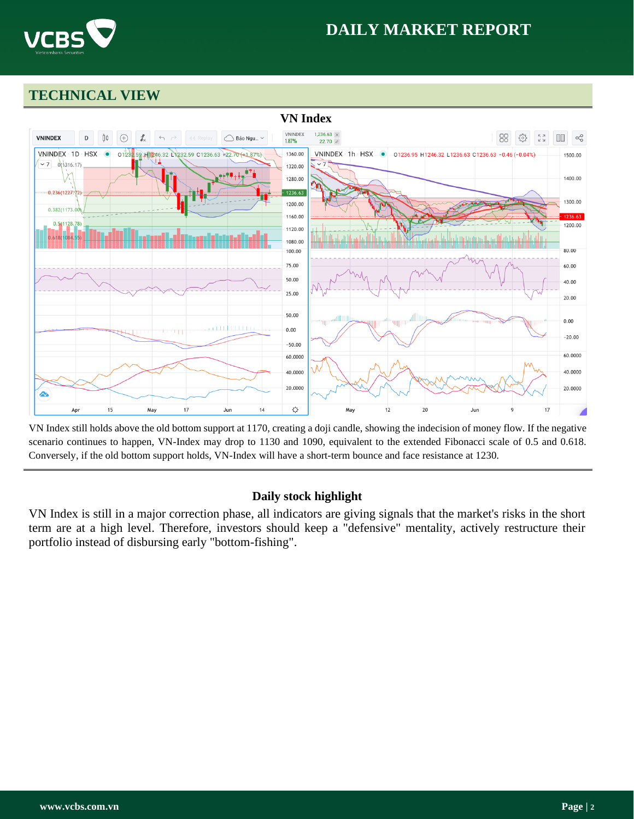

# **DAILY MARKET REPORT**

# **TECHNICAL VIEW**



VN Index still holds above the old bottom support at 1170, creating a doji candle, showing the indecision of money flow. If the negative scenario continues to happen, VN-Index may drop to 1130 and 1090, equivalent to the extended Fibonacci scale of 0.5 and 0.618. Conversely, if the old bottom support holds, VN-Index will have a short-term bounce and face resistance at 1230.

## **Daily stock highlight**

VN Index is still in a major correction phase, all indicators are giving signals that the market's risks in the short term are at a high level. Therefore, investors should keep a "defensive" mentality, actively restructure their portfolio instead of disbursing early "bottom-fishing".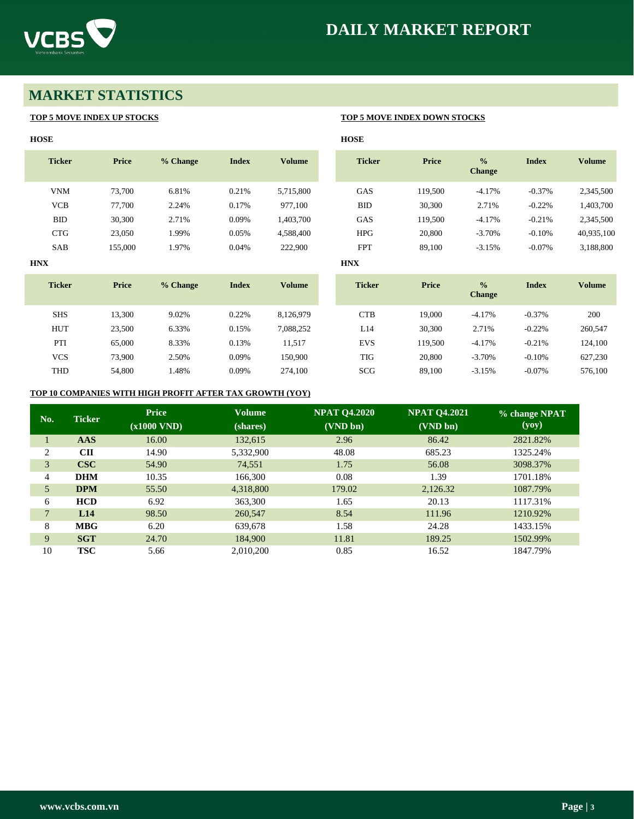



# **MARKET STATISTICS**

## **TOP 5 MOVE INDEX UP STOCKS TOP 5 MOVE INDEX DOWN STOCKS**

| <b>HOSE</b>   |              |          |              |               | <b>HOSE</b>   |              |                                |              |               |
|---------------|--------------|----------|--------------|---------------|---------------|--------------|--------------------------------|--------------|---------------|
| <b>Ticker</b> | <b>Price</b> | % Change | <b>Index</b> | <b>Volume</b> | <b>Ticker</b> | Price        | $\frac{0}{0}$<br><b>Change</b> | <b>Index</b> | <b>Volume</b> |
| <b>VNM</b>    | 73,700       | 6.81%    | 0.21%        | 5,715,800     | GAS           | 119,500      | $-4.17%$                       | $-0.37%$     | 2,345,500     |
| <b>VCB</b>    | 77,700       | 2.24%    | 0.17%        | 977,100       | <b>BID</b>    | 30,300       | 2.71%                          | $-0.22%$     | 1,403,700     |
| <b>BID</b>    | 30,300       | 2.71%    | 0.09%        | 1,403,700     | GAS           | 119,500      | $-4.17%$                       | $-0.21%$     | 2,345,500     |
| <b>CTG</b>    | 23,050       | 1.99%    | 0.05%        | 4,588,400     | <b>HPG</b>    | 20,800       | $-3.70%$                       | $-0.10%$     | 40,935,100    |
| SAB           | 155,000      | 1.97%    | 0.04%        | 222,900       | <b>FPT</b>    | 89,100       | $-3.15%$                       | $-0.07%$     | 3,188,800     |
| <b>HNX</b>    |              |          |              |               | <b>HNX</b>    |              |                                |              |               |
| <b>Ticker</b> | <b>Price</b> | % Change | <b>Index</b> | <b>Volume</b> | <b>Ticker</b> | <b>Price</b> | $\frac{0}{0}$<br><b>Change</b> | <b>Index</b> | <b>Volume</b> |
| <b>SHS</b>    | 13,300       | 9.02%    | 0.22%        | 8,126,979     | <b>CTB</b>    | 19,000       | $-4.17%$                       | $-0.37%$     | 200           |
| <b>HUT</b>    | 23,500       | 6.33%    | 0.15%        | 7,088,252     | L14           | 30,300       | 2.71%                          | $-0.22%$     | 260,547       |
| PTI           | 65,000       | 8.33%    | 0.13%        | 11,517        | <b>EVS</b>    | 119,500      | $-4.17%$                       | $-0.21%$     | 124,100       |
| <b>VCS</b>    | 73,900       | 2.50%    | 0.09%        | 150,900       | TIG           | 20,800       | $-3.70%$                       | $-0.10%$     | 627,230       |
|               |              |          |              |               |               |              |                                |              |               |
| <b>THD</b>    | 54,800       | 1.48%    | 0.09%        | 274,100       | SCG           | 89,100       | $-3.15%$                       | $-0.07%$     | 576,100       |

## **TOP 10 COMPANIES WITH HIGH PROFIT AFTER TAX GROWTH (YOY)**

| No.            | <b>Ticker</b> | Price<br>(x1000 VND) | <b>Volume</b><br>(shares) | <b>NPAT Q4.2020</b><br>(VND bn) | <b>NPAT Q4.2021</b><br>(VND bn) | % change NPAT<br>(yoy) |
|----------------|---------------|----------------------|---------------------------|---------------------------------|---------------------------------|------------------------|
|                | AAS           | 16.00                | 132,615                   | 2.96                            | 86.42                           | 2821.82%               |
| $\overline{c}$ | <b>CII</b>    | 14.90                | 5,332,900                 | 48.08                           | 685.23                          | 1325.24%               |
| 3              | <b>CSC</b>    | 54.90                | 74.551                    | 1.75                            | 56.08                           | 3098.37%               |
| 4              | <b>DHM</b>    | 10.35                | 166,300                   | 0.08                            | 1.39                            | 1701.18%               |
| 5              | <b>DPM</b>    | 55.50                | 4,318,800                 | 179.02                          | 2,126.32                        | 1087.79%               |
| 6              | <b>HCD</b>    | 6.92                 | 363,300                   | 1.65                            | 20.13                           | 1117.31%               |
| $\overline{7}$ | L14           | 98.50                | 260,547                   | 8.54                            | 111.96                          | 1210.92%               |
| 8              | <b>MBG</b>    | 6.20                 | 639,678                   | 1.58                            | 24.28                           | 1433.15%               |
| 9              | <b>SGT</b>    | 24.70                | 184,900                   | 11.81                           | 189.25                          | 1502.99%               |
| 10             | <b>TSC</b>    | 5.66                 | 2.010.200                 | 0.85                            | 16.52                           | 1847.79%               |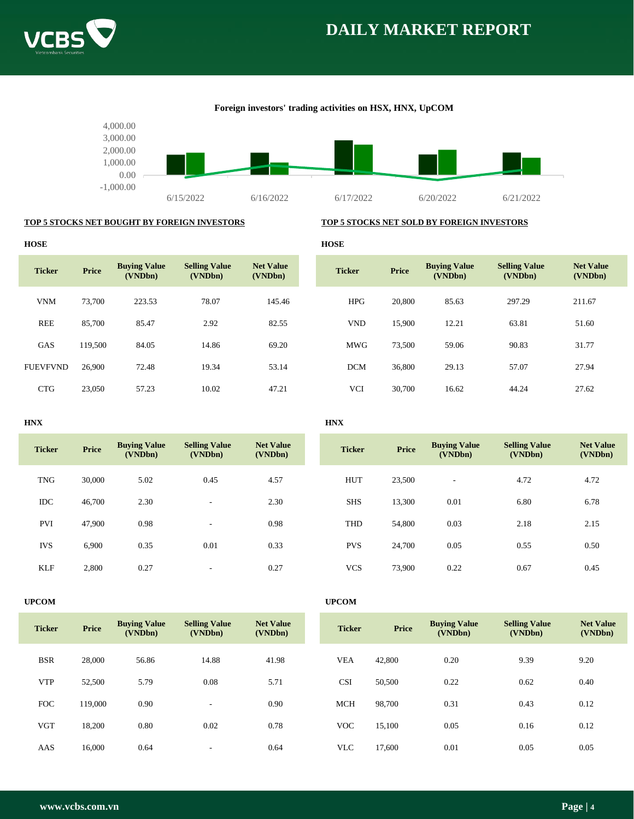





## **Foreign investors' trading activities on HSX, HNX, UpCOM**

## **TOP 5 STOCKS NET BOUGHT BY FOREIGN INVESTORS TOP 5 STOCKS NET SOLD BY FOREIGN INVESTORS**

| <b>HOSE</b>     |              |                                |                                 |                             | <b>HOSE</b>   |        |                                |                                 |                             |
|-----------------|--------------|--------------------------------|---------------------------------|-----------------------------|---------------|--------|--------------------------------|---------------------------------|-----------------------------|
| <b>Ticker</b>   | <b>Price</b> | <b>Buying Value</b><br>(VNDbn) | <b>Selling Value</b><br>(VNDbn) | <b>Net Value</b><br>(VNDbn) | <b>Ticker</b> | Price  | <b>Buying Value</b><br>(VNDbn) | <b>Selling Value</b><br>(VNDbn) | <b>Net Value</b><br>(VNDbn) |
| <b>VNM</b>      | 73,700       | 223.53                         | 78.07                           | 145.46                      | <b>HPG</b>    | 20,800 | 85.63                          | 297.29                          | 211.67                      |
| <b>REE</b>      | 85,700       | 85.47                          | 2.92                            | 82.55                       | <b>VND</b>    | 15,900 | 12.21                          | 63.81                           | 51.60                       |
| GAS             | 119,500      | 84.05                          | 14.86                           | 69.20                       | <b>MWG</b>    | 73,500 | 59.06                          | 90.83                           | 31.77                       |
| <b>FUEVFVND</b> | 26,900       | 72.48                          | 19.34                           | 53.14                       | <b>DCM</b>    | 36,800 | 29.13                          | 57.07                           | 27.94                       |
| <b>CTG</b>      | 23,050       | 57.23                          | 10.02                           | 47.21                       | <b>VCI</b>    | 30,700 | 16.62                          | 44.24                           | 27.62                       |

### **HNX HNX**

| <b>Ticker</b> | <b>Price</b> | <b>Buying Value</b><br>(VNDbn) | <b>Selling Value</b><br>(VNDbn) | <b>Net Value</b><br>(VNDbn) | <b>Ticker</b> | <b>Price</b> | <b>Buying Value</b><br>(VNDbn) | <b>Selling Value</b><br>(VNDbn) | <b>Net Value</b><br>(VNDbn) |
|---------------|--------------|--------------------------------|---------------------------------|-----------------------------|---------------|--------------|--------------------------------|---------------------------------|-----------------------------|
| <b>TNG</b>    | 30,000       | 5.02                           | 0.45                            | 4.57                        | <b>HUT</b>    | 23,500       | $\overline{a}$                 | 4.72                            | 4.72                        |
| IDC           | 46,700       | 2.30                           | $\overline{\phantom{a}}$        | 2.30                        | <b>SHS</b>    | 13,300       | 0.01                           | 6.80                            | 6.78                        |
| <b>PVI</b>    | 47,900       | 0.98                           | $\overline{\phantom{a}}$        | 0.98                        | THD           | 54,800       | 0.03                           | 2.18                            | 2.15                        |
| <b>IVS</b>    | 6,900        | 0.35                           | 0.01                            | 0.33                        | <b>PVS</b>    | 24,700       | 0.05                           | 0.55                            | 0.50                        |
| <b>KLF</b>    | 2,800        | 0.27                           | $\sim$                          | 0.27                        | <b>VCS</b>    | 73,900       | 0.22                           | 0.67                            | 0.45                        |

### **UPCOM UPCOM**

| <b>Ticker</b> | <b>Price</b> | <b>Buving Value</b><br>(VNDbn) | <b>Selling Value</b><br>(VNDbn) | <b>Net Value</b><br>(VNDbn) | <b>Ticker</b> | <b>Price</b> | <b>Buying Value</b><br>(VNDbn) | <b>Selling Value</b><br>(VNDbn) | <b>Net Value</b><br>(VNDbn) |
|---------------|--------------|--------------------------------|---------------------------------|-----------------------------|---------------|--------------|--------------------------------|---------------------------------|-----------------------------|
| <b>BSR</b>    | 28,000       | 56.86                          | 14.88                           | 41.98                       | <b>VEA</b>    | 42,800       | 0.20                           | 9.39                            | 9.20                        |
| <b>VTP</b>    | 52,500       | 5.79                           | 0.08                            | 5.71                        | <b>CSI</b>    | 50,500       | 0.22                           | 0.62                            | 0.40                        |
| <b>FOC</b>    | 119,000      | 0.90                           | $\overline{\phantom{a}}$        | 0.90                        | <b>MCH</b>    | 98,700       | 0.31                           | 0.43                            | 0.12                        |
| <b>VGT</b>    | 18,200       | 0.80                           | 0.02                            | 0.78                        | <b>VOC</b>    | 15,100       | 0.05                           | 0.16                            | 0.12                        |
| AAS           | 16,000       | 0.64                           | $\overline{\phantom{a}}$        | 0.64                        | <b>VLC</b>    | 17,600       | 0.01                           | 0.05                            | 0.05                        |